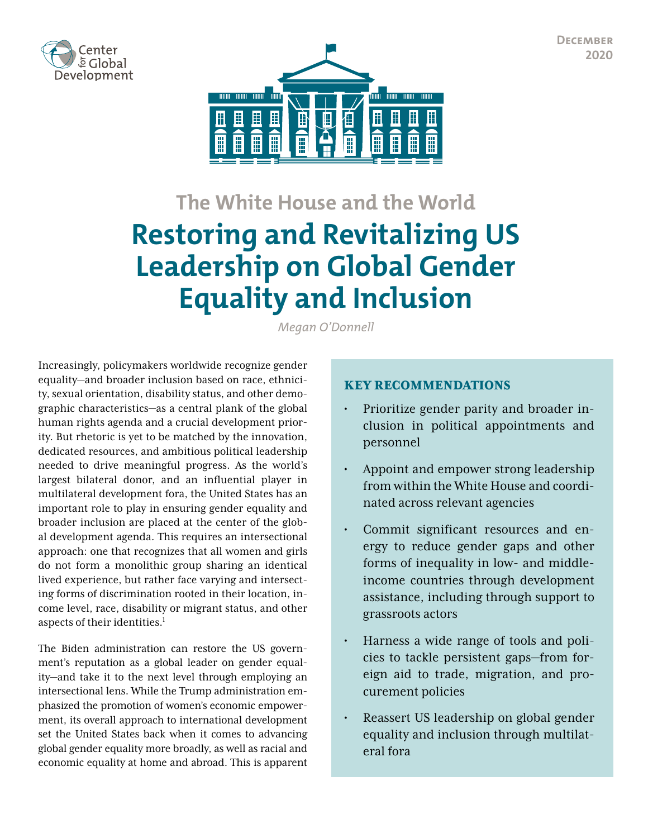**December 2020**





# **The White House and the World Restoring and Revitalizing US Leadership on Global Gender Equality and Inclusion**

*Megan O'Donnell*

Increasingly, policymakers worldwide recognize gender equality—and broader inclusion based on race, ethnicity, sexual orientation, disability status, and other demographic characteristics—as a central plank of the global human rights agenda and a crucial development priority. But rhetoric is yet to be matched by the innovation, dedicated resources, and ambitious political leadership needed to drive meaningful progress. As the world's largest bilateral donor, and an influential player in multilateral development fora, the United States has an important role to play in ensuring gender equality and broader inclusion are placed at the center of the global development agenda. This requires an intersectional approach: one that recognizes that all women and girls do not form a monolithic group sharing an identical lived experience, but rather face varying and intersecting forms of discrimination rooted in their location, income level, race, disability or migrant status, and other aspects of their identities.<sup>1</sup>

The Biden administration can restore the US government's reputation as a global leader on gender equality—and take it to the next level through employing an intersectional lens. While the Trump administration emphasized the promotion of women's economic empowerment, its overall approach to international development set the United States back when it comes to advancing global gender equality more broadly, as well as racial and economic equality at home and abroad. This is apparent

#### KEY RECOMMENDATIONS

- Prioritize gender parity and broader inclusion in political appointments and personnel
- Appoint and empower strong leadership from within the White House and coordinated across relevant agencies
- Commit significant resources and energy to reduce gender gaps and other forms of inequality in low- and middleincome countries through development assistance, including through support to grassroots actors
- Harness a wide range of tools and policies to tackle persistent gaps—from foreign aid to trade, migration, and procurement policies
- Reassert US leadership on global gender equality and inclusion through multilateral fora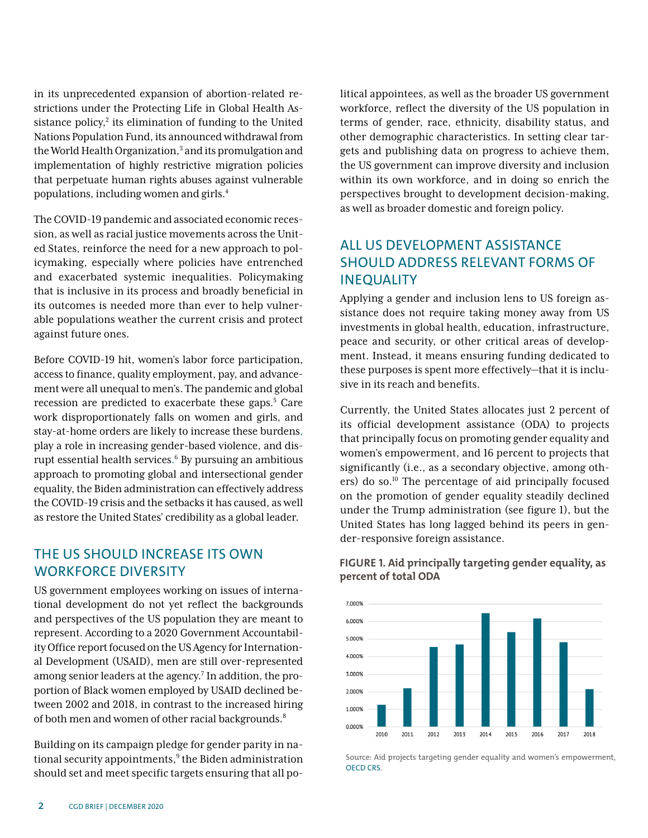in its unprecedented expansion of abortion-related restrictions under the Protecting Life in Global Health Assistance policy,<sup>2</sup> its elimination of funding to the United Nations Population Fund, its announced withdrawal from the World Health Organization,<sup>3</sup> and its promulgation and implementation of highly restrictive migration policies that perpetuate human rights abuses against vulnerable populations, including women and girls.4

The COVID-19 pandemic and associated economic recession, as well as racial justice movements across the United States, reinforce the need for a new approach to policymaking, especially where policies have entrenched and exacerbated systemic inequalities. Policymaking that is inclusive in its process and broadly beneficial in its outcomes is needed more than ever to help vulnerable populations weather the current crisis and protect against future ones.

Before COVID-19 hit, women's labor force participation, access to finance, quality employment, pay, and advancement were all unequal to men's. The pandemic and global recession are predicted to exacerbate these gaps.<sup>5</sup> Care work disproportionately falls on women and girls, and stay-at-home orders are likely to increase these burdens, play a role in increasing gender-based violence, and disrupt essential health services. <sup>6</sup> By pursuing an ambitious approach to promoting global and intersectional gender equality, the Biden administration can effectively address the COVID-19 crisis and the setbacks it has caused, as well as restore the United States' credibility as a global leader.

#### THE US SHOULD INCREASE ITS OWN WORKFORCE DIVERSITY

US government employees working on issues of international development do not yet reflect the backgrounds and perspectives of the US population they are meant to represent. According to a 2020 Government Accountability Office report focused on the US Agency for International Development (USAID), men are still over-represented among senior leaders at the agency.<sup>7</sup> In addition, the proportion of Black women employed by USAID declined between 2002 and 2018, in contrast to the increased hiring of both men and women of other racial backgrounds.<sup>8</sup>

Building on its campaign pledge for gender parity in national security appointments,<sup>9</sup> the Biden administration should set and meet specific targets ensuring that all political appointees, as well as the broader US government workforce, reflect the diversity of the US population in terms of gender, race, ethnicity, disability status, and other demographic characteristics. In setting clear targets and publishing data on progress to achieve them, the US government can improve diversity and inclusion within its own workforce, and in doing so enrich the perspectives brought to development decision-making, as well as broader domestic and foreign policy.

# ALL US DEVELOPMENT ASSISTANCE SHOULD ADDRESS RELEVANT FORMS OF INEQUALITY

Applying a gender and inclusion lens to US foreign assistance does not require taking money away from US investments in global health, education, infrastructure, peace and security, or other critical areas of development. Instead, it means ensuring funding dedicated to these purposes is spent more effectively—that it is inclusive in its reach and benefits.

Currently, the United States allocates just 2 percent of its official development assistance (ODA) to projects that principally focus on promoting gender equality and women's empowerment, and 16 percent to projects that significantly (i.e., as a secondary objective, among others) do so.10 The percentage of aid principally focused on the promotion of gender equality steadily declined under the Trump administration (see figure 1), but the United States has long lagged behind its peers in gender-responsive foreign assistance.



#### **FIGURE 1. Aid principally targeting gender equality, as percent of total ODA**

Source: Aid projects targeting gender equality and women's empowerment, [OECD CRS](https://stats.oecd.org/Index.aspx?DataSetCode=crs1).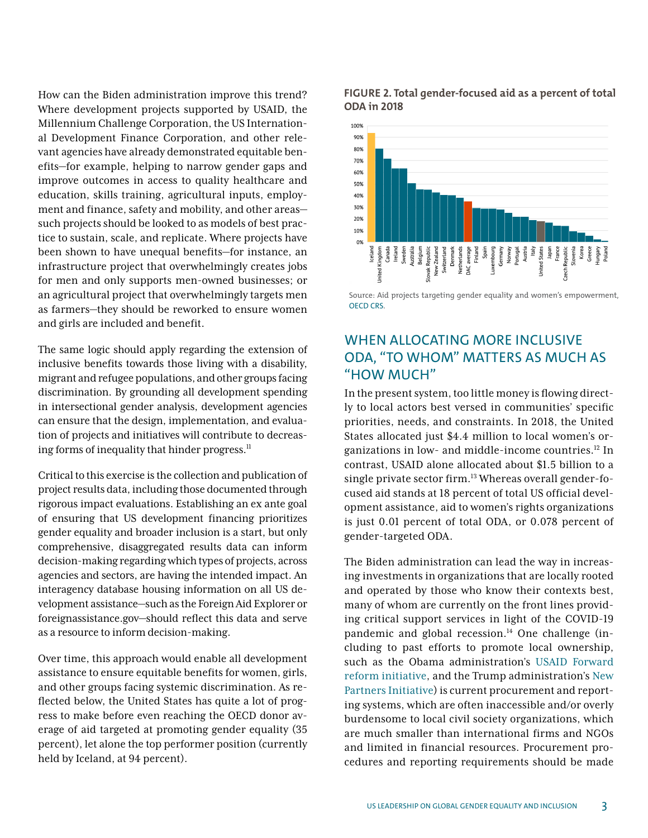How can the Biden administration improve this trend? Where development projects supported by USAID, the Millennium Challenge Corporation, the US International Development Finance Corporation, and other relevant agencies have already demonstrated equitable benefits—for example, helping to narrow gender gaps and improve outcomes in access to quality healthcare and education, skills training, agricultural inputs, employment and finance, safety and mobility, and other areas such projects should be looked to as models of best practice to sustain, scale, and replicate. Where projects have been shown to have unequal benefits—for instance, an infrastructure project that overwhelmingly creates jobs for men and only supports men-owned businesses; or an agricultural project that overwhelmingly targets men as farmers—they should be reworked to ensure women and girls are included and benefit.

The same logic should apply regarding the extension of inclusive benefits towards those living with a disability, migrant and refugee populations, and other groups facing discrimination. By grounding all development spending in intersectional gender analysis, development agencies can ensure that the design, implementation, and evaluation of projects and initiatives will contribute to decreasing forms of inequality that hinder progress. $<sup>11</sup>$ </sup>

Critical to this exercise is the collection and publication of project results data, including those documented through rigorous impact evaluations. Establishing an ex ante goal of ensuring that US development financing prioritizes gender equality and broader inclusion is a start, but only comprehensive, disaggregated results data can inform decision-making regarding which types of projects, across agencies and sectors, are having the intended impact. An interagency database housing information on all US development assistance—such as the Foreign Aid Explorer or foreignassistance.gov—should reflect this data and serve as a resource to inform decision-making.

Over time, this approach would enable all development assistance to ensure equitable benefits for women, girls, and other groups facing systemic discrimination. As reflected below, the United States has quite a lot of progress to make before even reaching the OECD donor average of aid targeted at promoting gender equality (35 percent), let alone the top performer position (currently held by Iceland, at 94 percent).





Source: Aid projects targeting gender equality and women's empowerment, [OECD CRS](https://stats.oecd.org/Index.aspx?DataSetCode=crs1).

## WHEN ALLOCATING MORE INCLUSIVE ODA, "TO WHOM" MATTERS AS MUCH AS "HOW MUCH"

In the present system, too little money is flowing directly to local actors best versed in communities' specific priorities, needs, and constraints. In 2018, the United States allocated just \$4.4 million to local women's organizations in low- and middle-income countries.12 In contrast, USAID alone allocated about \$1.5 billion to a single private sector firm.<sup>13</sup> Whereas overall gender-focused aid stands at 18 percent of total US official development assistance, aid to women's rights organizations is just 0.01 percent of total ODA, or 0.078 percent of gender-targeted ODA.

The Biden administration can lead the way in increasing investments in organizations that are locally rooted and operated by those who know their contexts best, many of whom are currently on the front lines providing critical support services in light of the COVID-19 pandemic and global recession. $14$  One challenge (including to past efforts to promote local ownership, such as the Obama administration's [USAID Forward](https://www.usaid.gov/usaidforward#:~:text=The%20USAID%20Forward%20reform%20initiative,a%20renewed%20focus%20on%20results)  [reform initiative](https://www.usaid.gov/usaidforward#:~:text=The%20USAID%20Forward%20reform%20initiative,a%20renewed%20focus%20on%20results), and the Trump administration's [New](https://www.usaid.gov/npi)  [Partners Initiative\)](https://www.usaid.gov/npi) is current procurement and reporting systems, which are often inaccessible and/or overly burdensome to local civil society organizations, which are much smaller than international firms and NGOs and limited in financial resources. Procurement procedures and reporting requirements should be made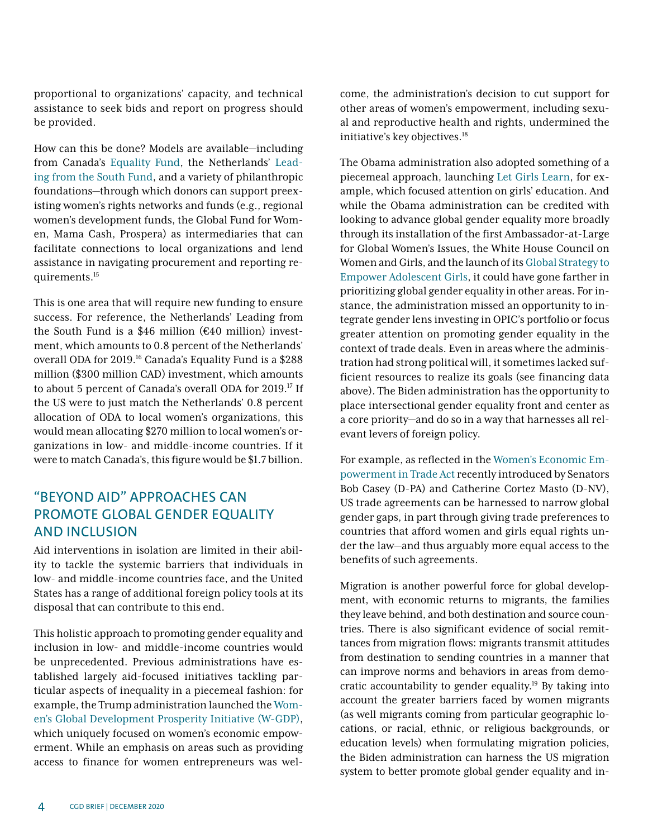proportional to organizations' capacity, and technical assistance to seek bids and report on progress should be provided.

How can this be done? Models are available—including from Canada's [Equality Fund](https://equalityfund.ca/), the Netherlands' [Lead](https://www.leadingfromthesouth.org/)[ing from the South Fund](https://www.leadingfromthesouth.org/), and a variety of philanthropic foundations—through which donors can support preexisting women's rights networks and funds (e.g., regional women's development funds, the Global Fund for Women, Mama Cash, Prospera) as intermediaries that can facilitate connections to local organizations and lend assistance in navigating procurement and reporting requirements.15

This is one area that will require new funding to ensure success. For reference, the Netherlands' Leading from the South Fund is a \$46 million ( $E40$  million) investment, which amounts to 0.8 percent of the Netherlands' overall ODA for 2019.<sup>16</sup> Canada's Equality Fund is a \$288 million (\$300 million CAD) investment, which amounts to about 5 percent of Canada's overall ODA for 2019.<sup>17</sup> If the US were to just match the Netherlands' 0.8 percent allocation of ODA to local women's organizations, this would mean allocating \$270 million to local women's organizations in low- and middle-income countries. If it were to match Canada's, this figure would be \$1.7 billion.

# "BEYOND AID" APPROACHES CAN PROMOTE GLOBAL GENDER EQUALITY AND INCLUSION

Aid interventions in isolation are limited in their ability to tackle the systemic barriers that individuals in low- and middle-income countries face, and the United States has a range of additional foreign policy tools at its disposal that can contribute to this end.

This holistic approach to promoting gender equality and inclusion in low- and middle-income countries would be unprecedented. Previous administrations have established largely aid-focused initiatives tackling particular aspects of inequality in a piecemeal fashion: for example, the Trump administration launched the [Wom](https://www.whitehouse.gov/wgdp/)[en's Global Development Prosperity Initiative \(W-GDP\)](https://www.whitehouse.gov/wgdp/), which uniquely focused on women's economic empowerment. While an emphasis on areas such as providing access to finance for women entrepreneurs was welcome, the administration's decision to cut support for other areas of women's empowerment, including sexual and reproductive health and rights, undermined the initiative's key objectives.<sup>18</sup>

The Obama administration also adopted something of a piecemeal approach, launching [Let Girls Learn,](https://obamawhitehouse.archives.gov/letgirlslearn) for example, which focused attention on girls' education. And while the Obama administration can be credited with looking to advance global gender equality more broadly through its installation of the first Ambassador-at-Large for Global Women's Issues, the White House Council on Women and Girls, and the launch of its [Global Strategy to](https://www.cgdev.org/blog/look-us-global-strategy-empower-adolescent-girls)  [Empower Adolescent Girls,](https://www.cgdev.org/blog/look-us-global-strategy-empower-adolescent-girls) it could have gone farther in prioritizing global gender equality in other areas. For instance, the administration missed an opportunity to integrate gender lens investing in OPIC's portfolio or focus greater attention on promoting gender equality in the context of trade deals. Even in areas where the administration had strong political will, it sometimes lacked sufficient resources to realize its goals (see financing data above). The Biden administration has the opportunity to place intersectional gender equality front and center as a core priority—and do so in a way that harnesses all relevant levers of foreign policy.

For example, as reflected in the [Women's Economic Em](https://www.casey.senate.gov/newsroom/releases/casey-cortez-masto-introduce-legislation-to-push-for-womens-rights-in-international-trade#:~:text=The%20Women)[powerment in Trade Act](https://www.casey.senate.gov/newsroom/releases/casey-cortez-masto-introduce-legislation-to-push-for-womens-rights-in-international-trade#:~:text=The%20Women) recently introduced by Senators Bob Casey (D-PA) and Catherine Cortez Masto (D-NV), US trade agreements can be harnessed to narrow global gender gaps, in part through giving trade preferences to countries that afford women and girls equal rights under the law—and thus arguably more equal access to the benefits of such agreements.

Migration is another powerful force for global development, with economic returns to migrants, the families they leave behind, and both destination and source countries. There is also significant evidence of social remittances from migration flows: migrants transmit attitudes from destination to sending countries in a manner that can improve norms and behaviors in areas from democratic accountability to gender equality.19 By taking into account the greater barriers faced by women migrants (as well migrants coming from particular geographic locations, or racial, ethnic, or religious backgrounds, or education levels) when formulating migration policies, the Biden administration can harness the US migration system to better promote global gender equality and in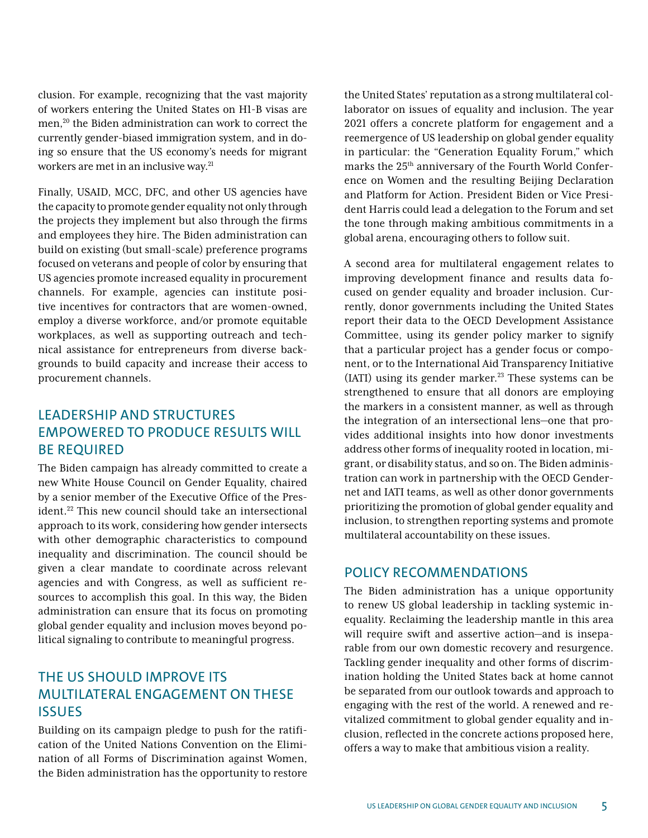clusion. For example, recognizing that the vast majority of workers entering the United States on H1-B visas are men,20 the Biden administration can work to correct the currently gender-biased immigration system, and in doing so ensure that the US economy's needs for migrant workers are met in an inclusive way.<sup>21</sup>

Finally, USAID, MCC, DFC, and other US agencies have the capacity to promote gender equality not only through the projects they implement but also through the firms and employees they hire. The Biden administration can build on existing (but small-scale) preference programs focused on veterans and people of color by ensuring that US agencies promote increased equality in procurement channels. For example, agencies can institute positive incentives for contractors that are women-owned, employ a diverse workforce, and/or promote equitable workplaces, as well as supporting outreach and technical assistance for entrepreneurs from diverse backgrounds to build capacity and increase their access to procurement channels.

# LEADERSHIP AND STRUCTURES EMPOWERED TO PRODUCE RESULTS WILL BE REQUIRED

The Biden campaign has already committed to create a new White House Council on Gender Equality, chaired by a senior member of the Executive Office of the President.<sup>22</sup> This new council should take an intersectional approach to its work, considering how gender intersects with other demographic characteristics to compound inequality and discrimination. The council should be given a clear mandate to coordinate across relevant agencies and with Congress, as well as sufficient resources to accomplish this goal. In this way, the Biden administration can ensure that its focus on promoting global gender equality and inclusion moves beyond political signaling to contribute to meaningful progress.

# THE US SHOULD IMPROVE ITS MULTILATERAL ENGAGEMENT ON THESE **ISSUES**

Building on its campaign pledge to push for the ratification of the United Nations Convention on the Elimination of all Forms of Discrimination against Women, the Biden administration has the opportunity to restore

the United States' reputation as a strong multilateral collaborator on issues of equality and inclusion. The year 2021 offers a concrete platform for engagement and a reemergence of US leadership on global gender equality in particular: the "Generation Equality Forum," which marks the 25<sup>th</sup> anniversary of the Fourth World Conference on Women and the resulting Beijing Declaration and Platform for Action. President Biden or Vice President Harris could lead a delegation to the Forum and set the tone through making ambitious commitments in a global arena, encouraging others to follow suit.

A second area for multilateral engagement relates to improving development finance and results data focused on gender equality and broader inclusion. Currently, donor governments including the United States report their data to the OECD Development Assistance Committee, using its gender policy marker to signify that a particular project has a gender focus or component, or to the International Aid Transparency Initiative  $(IATI)$  using its gender marker.<sup>23</sup> These systems can be strengthened to ensure that all donors are employing the markers in a consistent manner, as well as through the integration of an intersectional lens—one that provides additional insights into how donor investments address other forms of inequality rooted in location, migrant, or disability status, and so on. The Biden administration can work in partnership with the OECD Gendernet and IATI teams, as well as other donor governments prioritizing the promotion of global gender equality and inclusion, to strengthen reporting systems and promote multilateral accountability on these issues.

#### POLICY RECOMMENDATIONS

The Biden administration has a unique opportunity to renew US global leadership in tackling systemic inequality. Reclaiming the leadership mantle in this area will require swift and assertive action—and is inseparable from our own domestic recovery and resurgence. Tackling gender inequality and other forms of discrimination holding the United States back at home cannot be separated from our outlook towards and approach to engaging with the rest of the world. A renewed and revitalized commitment to global gender equality and inclusion, reflected in the concrete actions proposed here, offers a way to make that ambitious vision a reality.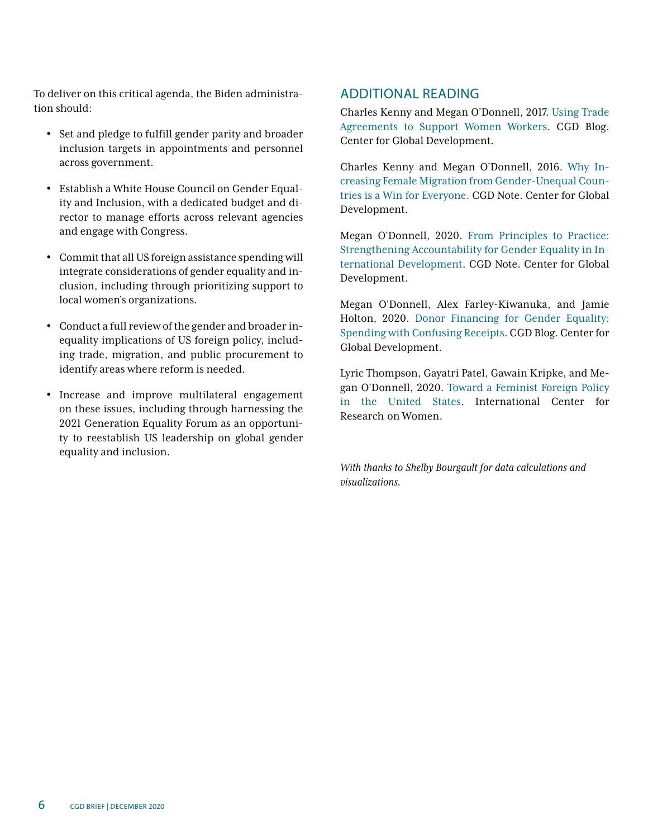To deliver on this critical agenda, the Biden administration should:

- Set and pledge to fulfill gender parity and broader inclusion targets in appointments and personnel across government.
- Establish a White House Council on Gender Equality and Inclusion, with a dedicated budget and director to manage efforts across relevant agencies and engage with Congress.
- Commit that all US foreign assistance spending will integrate considerations of gender equality and inclusion, including through prioritizing support to local women's organizations.
- Conduct a full review of the gender and broader inequality implications of US foreign policy, including trade, migration, and public procurement to identify areas where reform is needed.
- Increase and improve multilateral engagement on these issues, including through harnessing the 2021 Generation Equality Forum as an opportunity to reestablish US leadership on global gender equality and inclusion.

#### ADDITIONAL READING

Charles Kenny and Megan O'Donnell, 2017. [Using Trade](https://www.cgdev.org/blog/using-trade-agreements-support-women-workers)  [Agreements to Support Women Workers](https://www.cgdev.org/blog/using-trade-agreements-support-women-workers). CGD Blog. Center for Global Development.

Charles Kenny and Megan O'Donnell, 2016. [Why In](https://www.cgdev.org/publication/why-increasing-female-immigration-flows-gender-unequal-countries-could-have-significant)[creasing Female Migration from Gender-Unequal Coun](https://www.cgdev.org/publication/why-increasing-female-immigration-flows-gender-unequal-countries-could-have-significant)[tries is a Win for Everyone.](https://www.cgdev.org/publication/why-increasing-female-immigration-flows-gender-unequal-countries-could-have-significant) CGD Note. Center for Global Development.

Megan O'Donnell, 2020. [From Principles to Practice:](https://www.cgdev.org/publication/principles-practice-strengthening-accountability-gender-equality-international)  [Strengthening Accountability for Gender Equality in In](https://www.cgdev.org/publication/principles-practice-strengthening-accountability-gender-equality-international)[ternational Development](https://www.cgdev.org/publication/principles-practice-strengthening-accountability-gender-equality-international). CGD Note. Center for Global Development.

Megan O'Donnell, Alex Farley-Kiwanuka, and Jamie Holton, 2020. [Donor Financing for Gender Equality:](https://www.cgdev.org/blog/donor-financing-gender-equality-spending-confusing-receipts) [Spending with Confusing Receipts.](https://www.cgdev.org/blog/donor-financing-gender-equality-spending-confusing-receipts) CGD Blog. Center for Global Development.

Lyric Thompson, Gayatri Patel, Gawain Kripke, and Megan O'Donnell, 2020. [Toward a Feminist Foreign Policy](https://www.icrw.org/wp-content/uploads/2020/05/FFP-USA_v11-spreads.pdf)  [in the United States.](https://www.icrw.org/wp-content/uploads/2020/05/FFP-USA_v11-spreads.pdf) International Center for Research on Women.

*With thanks to Shelby Bourgault for data calculations and visualizations.*